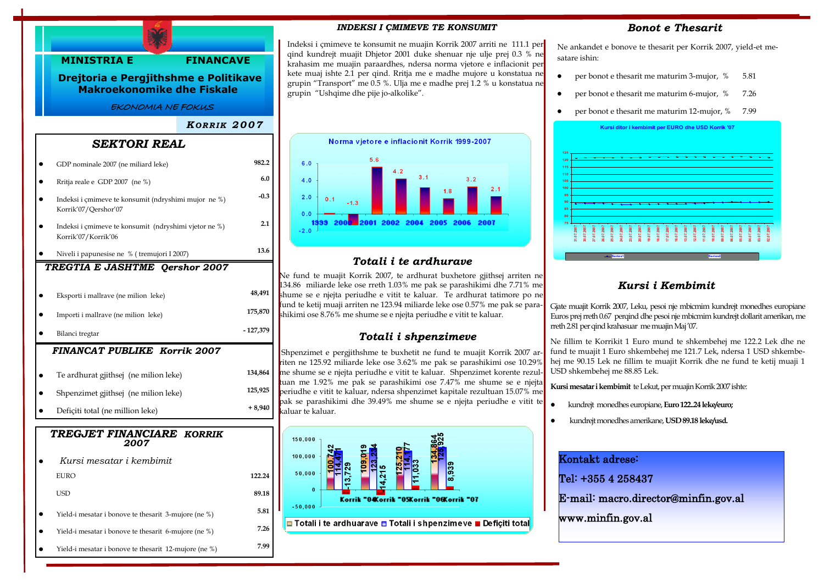

#### *INDEKSI I ÇMIMEVE TE KONSUMIT*

Indeksi i çmimeve te konsumit ne muajin Korrik 2007 arriti ne 111.1 per qind kundrejt muajit Dhjetor 2001 duke shenuar nje ulje prej 0.3 % ne krahasim me muajin paraardhes, ndersa norma vjetore e inflacionit per kete muaj ishte 2.1 per qind. Rritja me e madhe mujore u konstatua ne grupin "Transport" me 0.5 %. Ulja me e madhe prej 1.2 % u konstatua ne grupin "Ushqime dhe pije jo-alkolike".



## *Totali i te ardhurave*

Ne fund te muajit Korrik 2007, te ardhurat buxhetore gjithsej arriten ne 134.86 miliarde leke ose rreth 1.03% me pak se parashikimi dhe 7.71% me shume se e njejta periudhe e vitit te kaluar. Te ardhurat tatimore po ne fund te ketij muaji arriten ne 123.94 miliarde leke ose 0.57% me pak se parashikimi ose 8.76% me shume se e njejta periudhe e vitit te kaluar.

### *Totali i shpenzimeve*

Shpenzimet e pergjithshme te buxhetit ne fund te muajit Korrik 2007 arriten ne 125.92 miliarde leke ose 3.62% me pak se parashikimi ose 10.29% me shume se e njejta periudhe e vitit te kaluar. Shpenzimet korente rezultuan me 1.92% me pak se parashikimi ose 7.47% me shume se e njejta periudhe e vitit te kaluar, ndersa shpenzimet kapitale rezultuan 15.07% me pak se parashikimi dhe 39.49% me shume se e njejta periudhe e vitit te kaluar te kaluar.



### *Bonot e Thesarit*

Ne ankandet e bonove te thesarit per Korrik 2007, yield-et mesatare ishin:

- per bonot e thesarit me maturim 3-mujor, % 5.81  $\bullet$
- per bonot e thesarit me maturim 6-mujor, % 7.26
- per bonot e thesarit me maturim 12-mujor, % 7.99



### *Kursi i Kembimit*

Gjate muajit Korrik 2007, Leku, pesoi nje mbicmim kundrejt monedhes europiane Euros prej rreth 0.67 perqind dhe pesoi nje mbicmim kundrejt dollarit amerikan, me rreth 2.81 per qind krahasuar me muajin Maj "07.

Ne fillim te Korrikit 1 Euro mund te shkembehej me 122.2 Lek dhe ne fund te muajit 1 Euro shkembehej me 121.7 Lek, ndersa 1 USD shkembehej me 90.15 Lek ne fillim te muajit Korrik dhe ne fund te ketij muaji 1 USD shkembehej me 88.85 Lek.

**Kursi mesatar i kembimit** te Lekut, per muajin Korrik 2007 ishte:

- $\bullet$ kundrejt monedhes europiane, **Euro 122..24 leke/euro;**
- kundrejt monedhes amerikane, **USD 89.18 leke/usd.**

# Kontakt adrese:

Tel: +355 4 258437

E-mail: macro.director@minfin.gov.al

www.minfin.gov.al